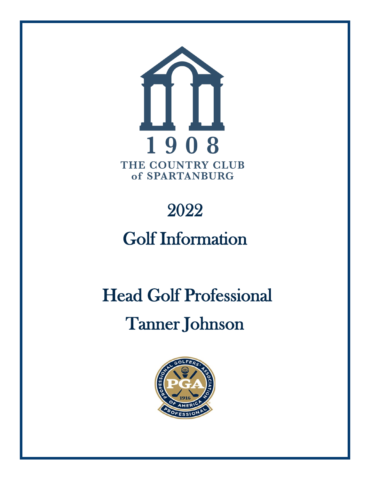

# 2022

# Golf Information

# Head Golf Professional Tanner Johnson

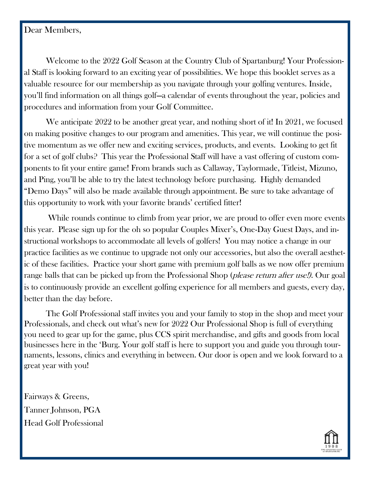#### Dear Members,

Welcome to the 2022 Golf Season at the Country Club of Spartanburg! Your Professional Staff is looking forward to an exciting year of possibilities. We hope this booklet serves as a valuable resource for our membership as you navigate through your golfing ventures. Inside, you'll find information on all things golf—a calendar of events throughout the year, policies and procedures and information from your Golf Committee.

We anticipate 2022 to be another great year, and nothing short of it! In 2021, we focused on making positive changes to our program and amenities. This year, we will continue the positive momentum as we offer new and exciting services, products, and events. Looking to get fit for a set of golf clubs? This year the Professional Staff will have a vast offering of custom components to fit your entire game! From brands such as Callaway, Taylormade, Titleist, Mizuno, and Ping, you'll be able to try the latest technology before purchasing. Highly demanded "Demo Days" will also be made available through appointment. Be sure to take advantage of this opportunity to work with your favorite brands' certified fitter!

While rounds continue to climb from year prior, we are proud to offer even more events this year. Please sign up for the oh so popular Couples Mixer's, One-Day Guest Days, and instructional workshops to accommodate all levels of golfers! You may notice a change in our practice facilities as we continue to upgrade not only our accessories, but also the overall aesthetic of these facilities. Practice your short game with premium golf balls as we now offer premium range balls that can be picked up from the Professional Shop (*please return after use!*). Our goal is to continuously provide an excellent golfing experience for all members and guests, every day, better than the day before.

The Golf Professional staff invites you and your family to stop in the shop and meet your Professionals, and check out what's new for 2022 Our Professional Shop is full of everything you need to gear up for the game, plus CCS spirit merchandise, and gifts and goods from local businesses here in the 'Burg. Your golf staff is here to support you and guide you through tournaments, lessons, clinics and everything in between. Our door is open and we look forward to a great year with you!

Fairways & Greens, Tanner Johnson, PGA Head Golf Professional

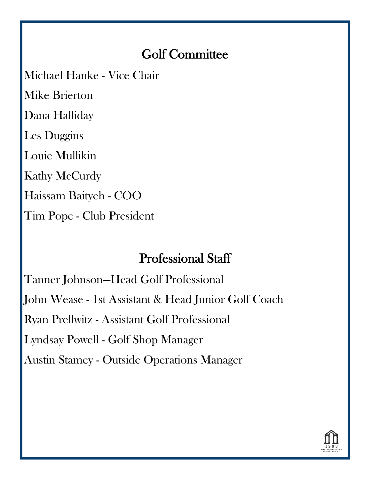## Golf Committee

Michael Hanke - Vice Chair

Mike Brierton Dana Halliday

Les Duggins

Louie Mullikin

Kathy McCurdy

Haissam Baityeh - COO

Tim Pope - Club President

## Professional Staff

Tanner Johnson—Head Golf Professional

John Wease - 1st Assistant & Head Junior Golf Coach

Ryan Prellwitz - Assistant Golf Professional

Lyndsay Powell - Golf Shop Manager

Austin Stamey - Outside Operations Manager

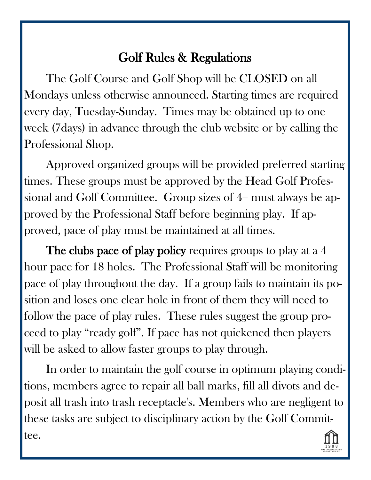The Golf Course and Golf Shop will be CLOSED on all Mondays unless otherwise announced. Starting times are required every day, Tuesday-Sunday. Times may be obtained up to one week (7days) in advance through the club website or by calling the Professional Shop.

Approved organized groups will be provided preferred starting times. These groups must be approved by the Head Golf Professional and Golf Committee. Group sizes of 4+ must always be approved by the Professional Staff before beginning play. If approved, pace of play must be maintained at all times.

The clubs pace of play policy requires groups to play at a 4 hour pace for 18 holes. The Professional Staff will be monitoring pace of play throughout the day. If a group fails to maintain its position and loses one clear hole in front of them they will need to follow the pace of play rules. These rules suggest the group proceed to play "ready golf". If pace has not quickened then players will be asked to allow faster groups to play through.

In order to maintain the golf course in optimum playing conditions, members agree to repair all ball marks, fill all divots and deposit all trash into trash receptacle's. Members who are negligent to these tasks are subject to disciplinary action by the Golf Committee.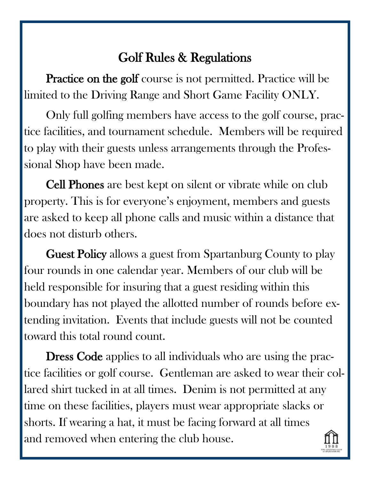Practice on the golf course is not permitted. Practice will be limited to the Driving Range and Short Game Facility ONLY.

Only full golfing members have access to the golf course, practice facilities, and tournament schedule. Members will be required to play with their guests unless arrangements through the Professional Shop have been made.

Cell Phones are best kept on silent or vibrate while on club property. This is for everyone's enjoyment, members and guests are asked to keep all phone calls and music within a distance that does not disturb others.

Guest Policy allows a guest from Spartanburg County to play four rounds in one calendar year. Members of our club will be held responsible for insuring that a guest residing within this boundary has not played the allotted number of rounds before extending invitation. Events that include guests will not be counted toward this total round count.

Dress Code applies to all individuals who are using the practice facilities or golf course. Gentleman are asked to wear their collared shirt tucked in at all times. Denim is not permitted at any time on these facilities, players must wear appropriate slacks or shorts. If wearing a hat, it must be facing forward at all times and removed when entering the club house.

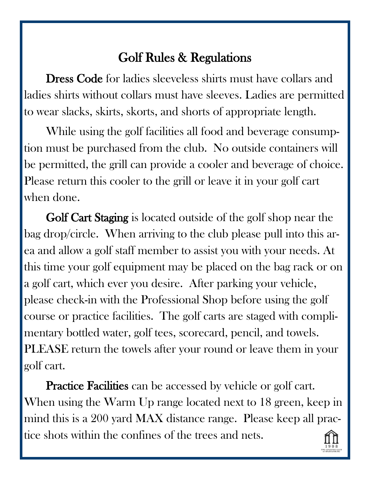Dress Code for ladies sleeveless shirts must have collars and ladies shirts without collars must have sleeves. Ladies are permitted to wear slacks, skirts, skorts, and shorts of appropriate length.

While using the golf facilities all food and beverage consumption must be purchased from the club. No outside containers will be permitted, the grill can provide a cooler and beverage of choice. Please return this cooler to the grill or leave it in your golf cart when done.

Golf Cart Staging is located outside of the golf shop near the bag drop/circle. When arriving to the club please pull into this area and allow a golf staff member to assist you with your needs. At this time your golf equipment may be placed on the bag rack or on a golf cart, which ever you desire. After parking your vehicle, please check-in with the Professional Shop before using the golf course or practice facilities. The golf carts are staged with complimentary bottled water, golf tees, scorecard, pencil, and towels. PLEASE return the towels after your round or leave them in your golf cart.

**Practice Facilities** can be accessed by vehicle or golf cart. When using the Warm Up range located next to 18 green, keep in mind this is a 200 yard MAX distance range. Please keep all practice shots within the confines of the trees and nets.

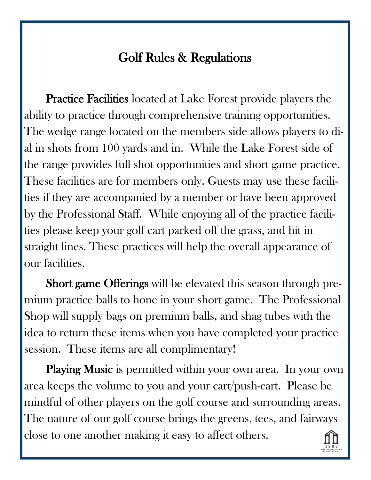Practice Facilities located at Lake Forest provide players the ability to practice through comprehensive training opportunities. The wedge range located on the members side allows players to dial in shots from 100 yards and in. While the Lake Forest side of the range provides full shot opportunities and short game practice. These facilities are for members only. Guests may use these facilities if they are accompanied by a member or have been approved by the Professional Staff. While enjoying all of the practice facilities please keep your golf cart parked off the grass, and hit in straight lines. These practices will help the overall appearance of our facilities.

Short game Offerings will be elevated this season through premium practice balls to hone in your short game. The Professional Shop will supply bags on premium balls, and shag tubes with the idea to return these items when you have completed your practice session. These items are all complimentary!

Playing Music is permitted within your own area. In your own area keeps the volume to you and your cart/push-cart. Please be mindful of other players on the golf course and surrounding areas. The nature of our golf course brings the greens, tees, and fairways close to one another making it easy to affect others.

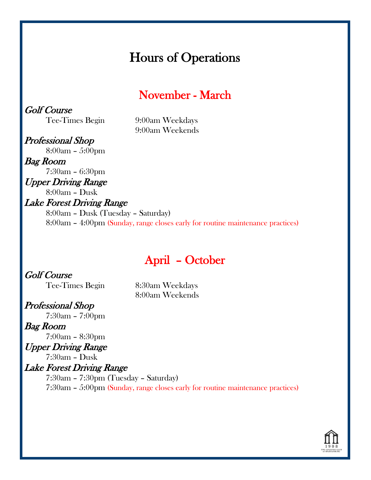## Hours of Operations

## November - March

Golf Course

Tee-Times Begin 9:00am Weekdays 9:00am Weekends

Professional Shop 8:00am – 5:00pm Bag Room

7:30am – 6:30pm

Upper Driving Range

8:00am – Dusk

### Lake Forest Driving Range

8:00am – Dusk (Tuesday – Saturday) 8:00am – 4:00pm (Sunday, range closes early for routine maintenance practices)

## April – October

#### Golf Course

Tee-Times Begin 8:30am Weekdays 8:00am Weekends

#### Professional Shop

7:30am – 7:00pm

Bag Room 7:00am – 8:30pm

#### Upper Driving Range

7:30am – Dusk

#### Lake Forest Driving Range

7:30am – 7:30pm (Tuesday – Saturday) 7:30am – 5:00pm (Sunday, range closes early for routine maintenance practices)

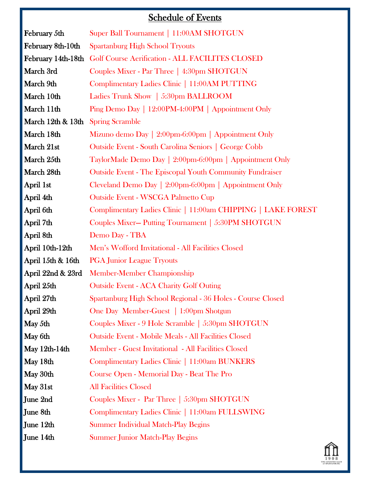## Schedule of Events

| February 5th       | Super Ball Tournament   11:00AM SHOTGUN                      |
|--------------------|--------------------------------------------------------------|
| February 8th-10th  | <b>Spartanburg High School Tryouts</b>                       |
| February 14th-18th | <b>Golf Course Aerification - ALL FACILITES CLOSED</b>       |
| March 3rd          | Couples Mixer - Par Three   4:30pm SHOTGUN                   |
| March 9th          | Complimentary Ladies Clinic   11:00AM PUTTING                |
| March 10th         | Ladies Trunk Show   5:30pm BALLROOM                          |
| March 11th         | Ping Demo Day   12:00PM-4:00PM   Appointment Only            |
| March 12th & 13th  | <b>Spring Scramble</b>                                       |
| March 18th         | Mizuno demo Day   2:00pm-6:00pm   Appointment Only           |
| March 21st         | Outside Event - South Carolina Seniors   George Cobb         |
| March 25th         | TaylorMade Demo Day   2:00pm-6:00pm   Appointment Only       |
| March 28th         | Outside Event - The Episcopal Youth Community Fundraiser     |
| April 1st          | Cleveland Demo Day   2:00pm-6:00pm   Appointment Only        |
| April 4th          | <b>Outside Event - WSCGA Palmetto Cup</b>                    |
| April 6th          | Complimentary Ladies Clinic   11:00am CHIPPING   LAKE FOREST |
| April 7th          | Couples Mixer-Putting Tournament   5:30PM SHOTGUN            |
| April 8th          | Demo Day - TBA                                               |
| April 10th-12th    | Men's Wofford Invitational - All Facilities Closed           |
| April 15th & 16th  | <b>PGA Junior League Tryouts</b>                             |
| April 22nd & 23rd  | <b>Member-Member Championship</b>                            |
| April 25th         | <b>Outside Event - ACA Charity Golf Outing</b>               |
| April 27th         | Spartanburg High School Regional - 36 Holes - Course Closed  |
| April 29th         | One Day Member-Guest   1:00pm Shotgun                        |
| May 5th            | Couples Mixer - 9 Hole Scramble   5:30pm SHOTGUN             |
| May 6th            | <b>Outside Event - Mobile Meals - All Facilities Closed</b>  |
| May 12th-14th      | Member - Guest Invitational - All Facilities Closed          |
| May 18th           | Complimentary Ladies Clinic   11:00am BUNKERS                |
| May 30th           | Course Open - Memorial Day - Beat The Pro                    |
| May 31st           | <b>All Facilities Closed</b>                                 |
| June 2nd           | Couples Mixer - Par Three   5:30pm SHOTGUN                   |
| June 8th           | Complimentary Ladies Clinic   11:00am FULLSWING              |
| June 12th          | <b>Summer Individual Match-Play Begins</b>                   |
| June 14th          | <b>Summer Junior Match-Play Begins</b>                       |

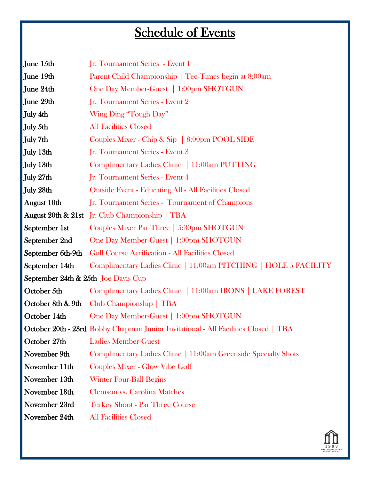## Schedule of Events

| June 15th                                      | Jr. Tournament Series - Event 1                                                     |
|------------------------------------------------|-------------------------------------------------------------------------------------|
| June 19th                                      | Parent Child Championship   Tee-Times begin at 8:00am                               |
| June 24th                                      | One Day Member-Guest   1:00pm SHOTGUN                                               |
| June 29th                                      | Jr. Tournament Series - Event 2                                                     |
| July 4th                                       | Wing Ding "Tough Day"                                                               |
| July 5th                                       | <b>All Facilities Closed</b>                                                        |
| July 7th                                       | Couples Mixer - Chip & Sip   8:00pm POOL SIDE                                       |
| July 13th                                      | Jr. Tournament Series - Event 3                                                     |
| July 13th                                      | Complimentary Ladies Clinic   11:00am PUTTING                                       |
| July 27th                                      | Jr. Tournament Series - Event 4                                                     |
| July 28th                                      | <b>Outside Event - Educating All - All Facilities Closed</b>                        |
| August 10th                                    | Jr. Tournament Series - Tournament of Champions                                     |
|                                                | August 20th & 21st Jr. Club Championship   TBA                                      |
| September 1st                                  | Couples Mixer Par Three   5:30pm SHOTGUN                                            |
| September 2nd                                  | One Day Member-Guest   1:00pm SHOTGUN                                               |
| September 6th-9th                              | <b>Golf Course Aerification - All Facilities Closed</b>                             |
| September 14th                                 | Complimentary Ladies Clinic   11:00am PITCHING   HOLE 5 FACILITY                    |
| <b>September 24th &amp; 25th Joe Davis Cup</b> |                                                                                     |
| October 5th                                    | Complimentary Ladies Clinic   11:00am IRONS   LAKE FOREST                           |
| October 8th & 9th                              | Club Championship   TBA                                                             |
| October 14th                                   | One Day Member-Guest   1:00pm SHOTGUN                                               |
|                                                | October 20th - 23rd Bobby Chapman Junior Invitational - All Facilities Closed   TBA |
| October 27th                                   | <b>Ladies Member-Guest</b>                                                          |
| November 9th                                   | Complimentary Ladies Clinic   11:00am Greenside Specialty Shots                     |
| November 11th                                  | <b>Couples Mixer - Glow Vibe Golf</b>                                               |
| November 13th                                  | <b>Winter Four-Ball Begins</b>                                                      |
| November 18th                                  | <b>Clemson vs. Carolina Matches</b>                                                 |
| November 23rd                                  | <b>Turkey Shoot - Par Three Course</b>                                              |
| November 24th                                  | <b>All Facilities Closed</b>                                                        |

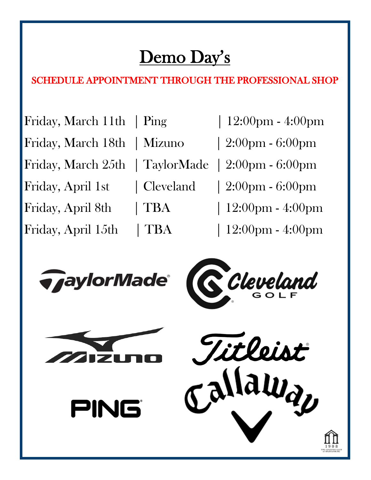# Demo Day's

## SCHEDULE APPOINTMENT THROUGH THE PROFESSIONAL SHOP

Friday, March 11th | Ping | 12:00pm - 4:00pm Friday, March 18th | Mizuno | 2:00pm - 6:00pm Friday, March 25th | TaylorMade | 2:00pm - 6:00pm Friday, April 1st | Cleveland | 2:00pm - 6:00pm Friday, April 8th | TBA | 12:00pm - 4:00pm Friday, April 15th | TBA | 12:00pm - 4:00pm

- 
- 
- 
- -
	- -







PING



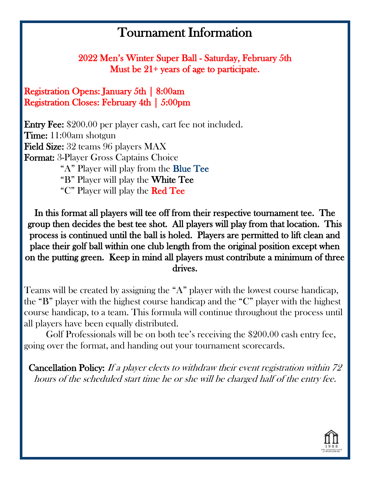2022 Men's Winter Super Ball - Saturday, February 5th Must be 21+ years of age to participate.

Registration Opens: January 5th | 8:00am Registration Closes: February 4th | 5:00pm

Entry Fee: \$200.00 per player cash, cart fee not included. Time: 11:00am shotgun Field Size: 32 teams 96 players MAX Format: 3-Player Gross Captains Choice "A" Player will play from the Blue Tee "B" Player will play the White Tee "C" Player will play the Red Tee

In this format all players will tee off from their respective tournament tee. The group then decides the best tee shot. All players will play from that location. This process is continued until the ball is holed. Players are permitted to lift clean and place their golf ball within one club length from the original position except when on the putting green. Keep in mind all players must contribute a minimum of three drives.

Teams will be created by assigning the "A" player with the lowest course handicap, the "B" player with the highest course handicap and the "C" player with the highest course handicap, to a team. This formula will continue throughout the process until all players have been equally distributed.

Golf Professionals will be on both tee's receiving the \$200.00 cash entry fee, going over the format, and handing out your tournament scorecards.

Cancellation Policy: If a player elects to withdraw their event registration within 72 hours of the scheduled start time he or she will be charged half of the entry fee.

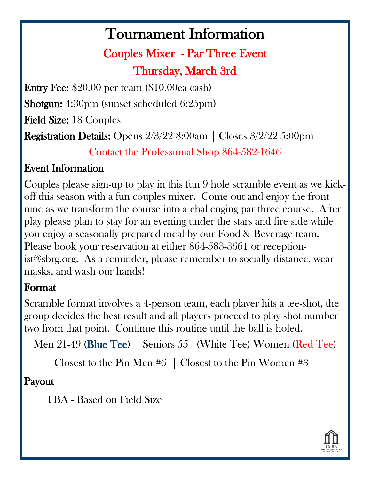## Couples Mixer - Par Three Event Thursday, March 3rd

Entry Fee: \$20.00 per team (\$10.00ea cash)

Shotgun: 4:30pm (sunset scheduled 6:25pm)

Field Size: 18 Couples

Registration Details: Opens 2/3/22 8:00am | Closes 3/2/22 5:00pm

Contact the Professional Shop 864-582-1646

## Event Information

Couples please sign-up to play in this fun 9 hole scramble event as we kickoff this season with a fun couples mixer. Come out and enjoy the front nine as we transform the course into a challenging par three course. After play please plan to stay for an evening under the stars and fire side while you enjoy a seasonally prepared meal by our Food & Beverage team. Please book your reservation at either 864-583-3661 or receptionist@sbrg.org. As a reminder, please remember to socially distance, wear masks, and wash our hands!

### Format

Scramble format involves a 4-person team, each player hits a tee-shot, the group decides the best result and all players proceed to play shot number two from that point. Continue this routine until the ball is holed.

Men 21-49 (Blue Tee) Seniors 55+ (White Tee) Women (Red Tee)

Closest to the Pin Men #6 | Closest to the Pin Women #3

### Payout

TBA - Based on Field Size

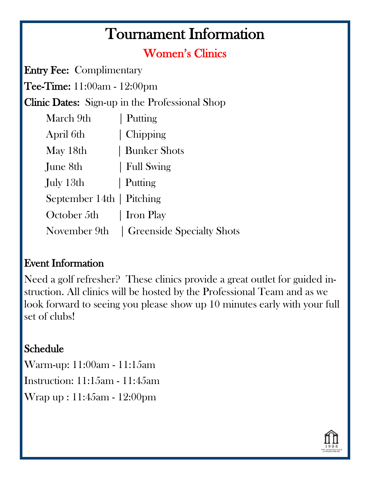## Women's Clinics

Entry Fee: Complimentary

Tee-Time: 11:00am - 12:00pm

Clinic Dates: Sign-up in the Professional Shop

| March 9th                 | Putting                                  |
|---------------------------|------------------------------------------|
| April 6th                 | Chipping                                 |
| May 18th                  | Bunker Shots                             |
| June 8th                  | Full Swing                               |
| July 13th                 | Putting                                  |
| September 14th   Pitching |                                          |
| October 5th   Iron Play   |                                          |
|                           | November 9th   Greenside Specialty Shots |

### Event Information

Need a golf refresher? These clinics provide a great outlet for guided instruction. All clinics will be hosted by the Professional Team and as we look forward to seeing you please show up 10 minutes early with your full set of clubs!

## Schedule

Warm-up: 11:00am - 11:15am Instruction: 11:15am - 11:45am Wrap up : 11:45am - 12:00pm

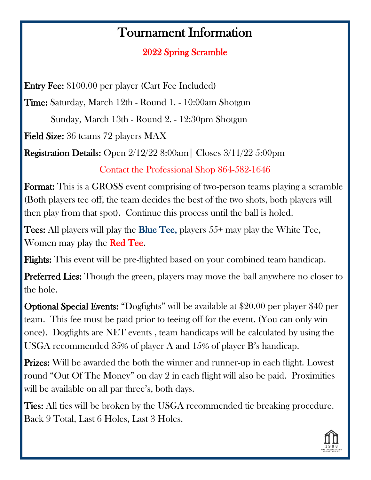### 2022 Spring Scramble

Entry Fee: \$100.00 per player (Cart Fee Included)

Time: Saturday, March 12th - Round 1. - 10:00am Shotgun

Sunday, March 13th - Round 2. - 12:30pm Shotgun

Field Size: 36 teams 72 players MAX

Registration Details: Open 2/12/22 8:00am| Closes 3/11/22 5:00pm

Contact the Professional Shop 864-582-1646

Format: This is a GROSS event comprising of two-person teams playing a scramble (Both players tee off, the team decides the best of the two shots, both players will then play from that spot). Continue this process until the ball is holed.

**Tees:** All players will play the **Blue Tee**, players  $55+$  may play the White Tee, Women may play the **Red Tee.** 

Flights: This event will be pre-flighted based on your combined team handicap.

**Preferred Lies:** Though the green, players may move the ball anywhere no closer to the hole.

Optional Special Events: "Dogfights" will be available at \$20.00 per player \$40 per team. This fee must be paid prior to teeing off for the event. (You can only win once). Dogfights are NET events , team handicaps will be calculated by using the USGA recommended 35% of player A and 15% of player B's handicap.

Prizes: Will be awarded the both the winner and runner-up in each flight. Lowest round "Out Of The Money" on day 2 in each flight will also be paid. Proximities will be available on all par three's, both days.

Ties: All ties will be broken by the USGA recommended tie breaking procedure. Back 9 Total, Last 6 Holes, Last 3 Holes.

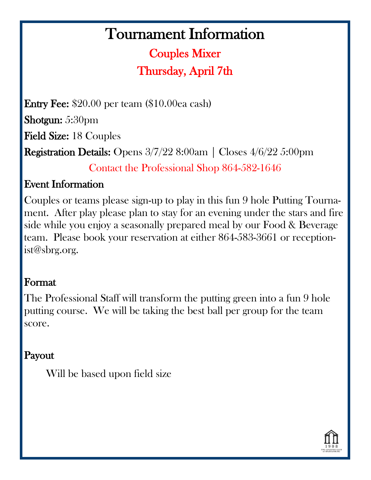## Couples Mixer Thursday, April 7th

Entry Fee: \$20.00 per team (\$10.00ea cash) Shotgun: 5:30pm Field Size: 18 Couples Registration Details: Opens 3/7/22 8:00am | Closes 4/6/22 5:00pm

Contact the Professional Shop 864-582-1646

### Event Information

Couples or teams please sign-up to play in this fun 9 hole Putting Tournament. After play please plan to stay for an evening under the stars and fire side while you enjoy a seasonally prepared meal by our Food & Beverage team. Please book your reservation at either 864-583-3661 or receptionist@sbrg.org.

### Format

The Professional Staff will transform the putting green into a fun 9 hole putting course. We will be taking the best ball per group for the team score.

## Payout

Will be based upon field size

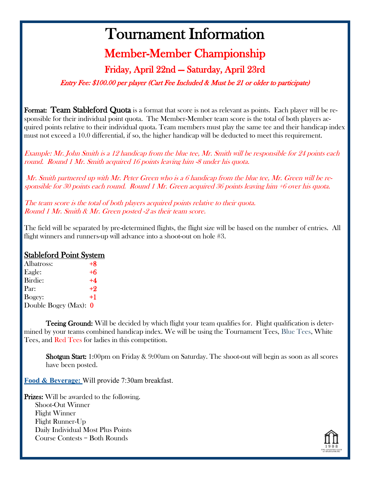## Member-Member Championship

### Friday, April 22nd — Saturday, April 23rd

Entry Fee: \$100.00 per player (Cart Fee Included & Must be 21 or older to participate)

Format: Team Stableford Quota is a format that score is not as relevant as points. Each player will be responsible for their individual point quota. The Member-Member team score is the total of both players acquired points relative to their individual quota. Team members must play the same tee and their handicap index must not exceed a 10.0 differential, if so, the higher handicap will be deducted to meet this requirement.

Example: Mr. John Smith is a 12 handicap from the blue tee, Mr. Smith will be responsible for 24 points each round. Round 1 Mr. Smith acquired 16 points leaving him -8 under his quota.

Mr. Smith partnered up with Mr. Peter Green who is a 6 handicap from the blue tee, Mr. Green will be responsible for 30 points each round. Round 1 Mr. Green acquired 36 points leaving him +6 over his quota.

The team score is the total of both players acquired points relative to their quota. Round 1 Mr. Smith & Mr. Green posted -2 as their team score.

The field will be separated by pre-determined flights, the flight size will be based on the number of entries. All flight winners and runners-up will advance into a shoot-out on hole #3.

#### Stableford Point System

| Albatross:              | $+8$ |
|-------------------------|------|
| Eagle:                  | $+6$ |
| Birdie:                 | $+4$ |
| Par:                    | $+9$ |
| Bogey:                  | $+1$ |
| Double Bogey (Max): $0$ |      |

**Teeing Ground:** Will be decided by which flight your team qualifies for. Flight qualification is determined by your teams combined handicap index. We will be using the Tournament Tees, Blue Tees, White Tees, and Red Tees for ladies in this competition.

Shotgun Start: 1:00pm on Friday & 9:00am on Saturday. The shoot-out will begin as soon as all scores have been posted.

**Food & Beverage:** Will provide 7:30am breakfast.

Prizes: Will be awarded to the following. Shoot-Out Winner Flight Winner Flight Runner-Up Daily Individual Most Plus Points Course Contests = Both Rounds

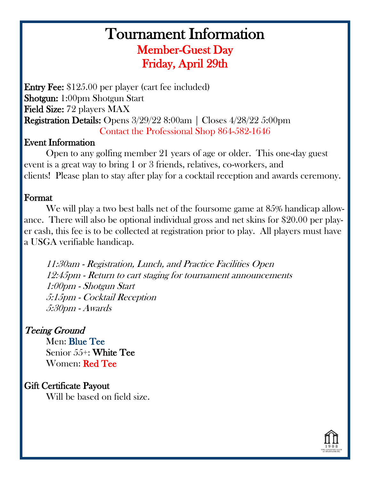## Tournament Information Member-Guest Day Friday, April 29th

Entry Fee: \$125.00 per player (cart fee included) Shotgun: 1:00pm Shotgun Start Field Size: 72 players MAX Registration Details: Opens 3/29/22 8:00am | Closes 4/28/22 5:00pm Contact the Professional Shop 864-582-1646

#### Event Information

Open to any golfing member 21 years of age or older. This one-day guest event is a great way to bring 1 or 3 friends, relatives, co-workers, and clients! Please plan to stay after play for a cocktail reception and awards ceremony.

#### Format

We will play a two best balls net of the foursome game at 85% handicap allowance. There will also be optional individual gross and net skins for \$20.00 per player cash, this fee is to be collected at registration prior to play. All players must have a USGA verifiable handicap.

11:30am - Registration, Lunch, and Practice Facilities Open 12:45pm - Return to cart staging for tournament announcements 1:00pm - Shotgun Start 5:15pm - Cocktail Reception 5:30pm - Awards

#### Teeing Ground

 Men: Blue Tee Senior 55+: White Tee Women: Red Tee

#### Gift Certificate Payout

Will be based on field size.

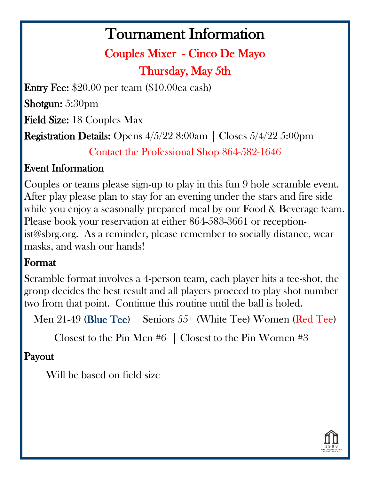## Couples Mixer - Cinco De Mayo Thursday, May 5th

Entry Fee: \$20.00 per team (\$10.00ea cash)

Shotgun: 5:30pm

Field Size: 18 Couples Max

Registration Details: Opens 4/5/22 8:00am | Closes 5/4/22 5:00pm

Contact the Professional Shop 864-582-1646

## Event Information

Couples or teams please sign-up to play in this fun 9 hole scramble event. After play please plan to stay for an evening under the stars and fire side while you enjoy a seasonally prepared meal by our Food & Beverage team. Please book your reservation at either 864-583-3661 or receptionist@sbrg.org. As a reminder, please remember to socially distance, wear masks, and wash our hands!

## Format

Scramble format involves a 4-person team, each player hits a tee-shot, the group decides the best result and all players proceed to play shot number two from that point. Continue this routine until the ball is holed.

Men 21-49 (Blue Tee) Seniors 55+ (White Tee) Women (Red Tee)

Closest to the Pin Men #6 | Closest to the Pin Women #3

## Payout

Will be based on field size

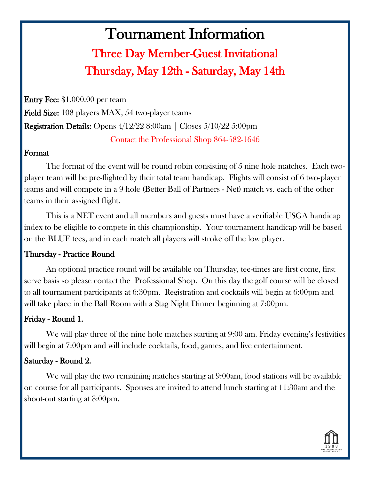## Tournament Information Three Day Member-Guest Invitational Thursday, May 12th - Saturday, May 14th

Entry Fee: \$1,000.00 per team Field Size: 108 players MAX, 54 two-player teams Registration Details: Opens 4/12/22 8:00am | Closes 5/10/22 5:00pm Contact the Professional Shop 864-582-1646

#### Format

The format of the event will be round robin consisting of 5 nine hole matches. Each twoplayer team will be pre-flighted by their total team handicap. Flights will consist of 6 two-player teams and will compete in a 9 hole (Better Ball of Partners - Net) match vs. each of the other teams in their assigned flight.

This is a NET event and all members and guests must have a verifiable USGA handicap index to be eligible to compete in this championship. Your tournament handicap will be based on the BLUE tees, and in each match all players will stroke off the low player.

#### Thursday - Practice Round

 An optional practice round will be available on Thursday, tee-times are first come, first serve basis so please contact the Professional Shop. On this day the golf course will be closed to all tournament participants at 6:30pm. Registration and cocktails will begin at 6:00pm and will take place in the Ball Room with a Stag Night Dinner beginning at 7:00pm.

#### Friday - Round 1.

We will play three of the nine hole matches starting at 9:00 am. Friday evening's festivities will begin at 7:00pm and will include cocktails, food, games, and live entertainment.

#### Saturday - Round 2.

 We will play the two remaining matches starting at 9:00am, food stations will be available on course for all participants. Spouses are invited to attend lunch starting at 11:30am and the shoot-out starting at 3:00pm.

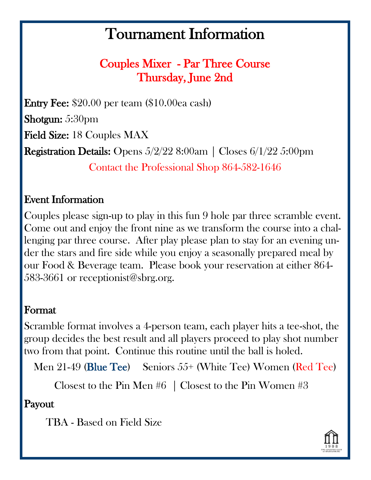Couples Mixer - Par Three Course Thursday, June 2nd

Entry Fee: \$20.00 per team (\$10.00ea cash) Shotgun: 5:30pm Field Size: 18 Couples MAX Registration Details: Opens 5/2/22 8:00am | Closes 6/1/22 5:00pm Contact the Professional Shop 864-582-1646

## Event Information

Couples please sign-up to play in this fun 9 hole par three scramble event. Come out and enjoy the front nine as we transform the course into a challenging par three course. After play please plan to stay for an evening under the stars and fire side while you enjoy a seasonally prepared meal by our Food & Beverage team. Please book your reservation at either 864- 583-3661 or receptionist@sbrg.org.

### Format

Scramble format involves a 4-person team, each player hits a tee-shot, the group decides the best result and all players proceed to play shot number two from that point. Continue this routine until the ball is holed.

Men 21-49 (Blue Tee) Seniors 55+ (White Tee) Women (Red Tee)

Closest to the Pin Men #6 | Closest to the Pin Women #3

Payout

TBA - Based on Field Size

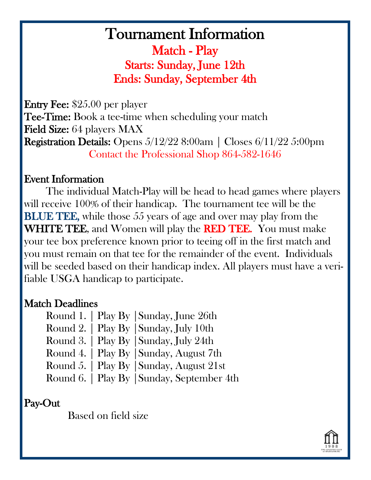## Tournament Information Match - Play Starts: Sunday, June 12th Ends: Sunday, September 4th

Entry Fee: \$25.00 per player **Tee-Time:** Book a tee-time when scheduling your match Field Size: 64 players MAX Registration Details: Opens 5/12/22 8:00am | Closes 6/11/22 5:00pm Contact the Professional Shop 864-582-1646

#### Event Information

The individual Match-Play will be head to head games where players will receive 100% of their handicap. The tournament tee will be the BLUE TEE, while those 55 years of age and over may play from the WHITE TEE, and Women will play the RED TEE. You must make your tee box preference known prior to teeing off in the first match and you must remain on that tee for the remainder of the event. Individuals will be seeded based on their handicap index. All players must have a verifiable USGA handicap to participate.

#### Match Deadlines

|  | Round 1.   Play By   Sunday, June 26th     |
|--|--------------------------------------------|
|  | Round 2.   Play By   Sunday, July 10th     |
|  | Round 3.   Play By   Sunday, July 24th     |
|  | Round 4.   Play By   Sunday, August 7th    |
|  | Round 5.   Play By   Sunday, August 21st   |
|  | Round 6.   Play By   Sunday, September 4th |

#### Pay-Out

Based on field size

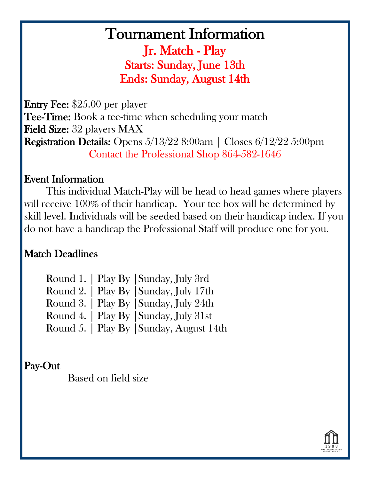## Tournament Information Jr. Match - Play Starts: Sunday, June 13th Ends: Sunday, August 14th

Entry Fee: \$25.00 per player **Tee-Time:** Book a tee-time when scheduling your match Field Size: 32 players MAX Registration Details: Opens 5/13/22 8:00am | Closes 6/12/22 5:00pm Contact the Professional Shop 864-582-1646

#### Event Information

This individual Match-Play will be head to head games where players will receive 100% of their handicap. Your tee box will be determined by skill level. Individuals will be seeded based on their handicap index. If you do not have a handicap the Professional Staff will produce one for you.

### Match Deadlines

|  | Round 1.   Play By   Sunday, July 3rd    |
|--|------------------------------------------|
|  | Round 2.   Play By   Sunday, July 17th   |
|  | Round 3.   Play By   Sunday, July 24th   |
|  | Round 4.   Play By   Sunday, July 31st   |
|  | Round 5.   Play By   Sunday, August 14th |

## Pay-Out

Based on field size

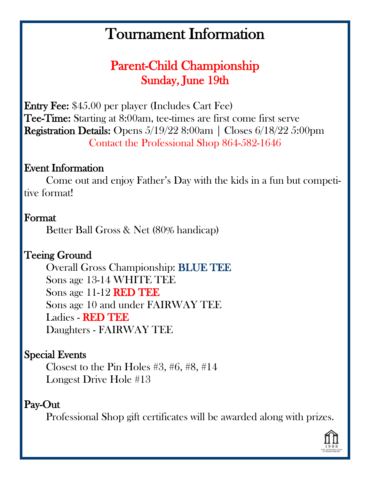## Parent-Child Championship Sunday, June 19th

Entry Fee: \$45.00 per player (Includes Cart Fee) Tee-Time: Starting at 8:00am, tee-times are first come first serve Registration Details: Opens 5/19/22 8:00am | Closes 6/18/22 5:00pm Contact the Professional Shop 864-582-1646

### Event Information

Come out and enjoy Father's Day with the kids in a fun but competitive format!

### Format

Better Ball Gross & Net (80% handicap)

## Teeing Ground

 Overall Gross Championship: BLUE TEE Sons age 13-14 WHITE TEE Sons age 11-12 RED TEE Sons age 10 and under FAIRWAY TEE Ladies - RED TEE Daughters - FAIRWAY TEE

### Special Events

 Closest to the Pin Holes #3, #6, #8, #14 Longest Drive Hole #13

#### Pay-Out

Professional Shop gift certificates will be awarded along with prizes.

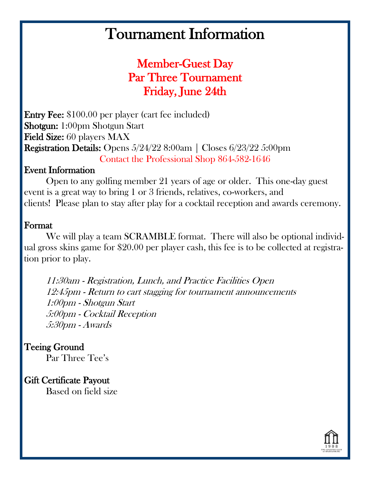## Member-Guest Day Par Three Tournament Friday, June 24th

Entry Fee: \$100.00 per player (cart fee included) Shotgun: 1:00pm Shotgun Start Field Size: 60 players MAX Registration Details: Opens 5/24/22 8:00am | Closes 6/23/22 5:00pm Contact the Professional Shop 864-582-1646

#### Event Information

Open to any golfing member 21 years of age or older. This one-day guest event is a great way to bring 1 or 3 friends, relatives, co-workers, and clients! Please plan to stay after play for a cocktail reception and awards ceremony.

#### Format

We will play a team SCRAMBLE format. There will also be optional individual gross skins game for \$20.00 per player cash, this fee is to be collected at registration prior to play.

11:30am - Registration, Lunch, and Practice Facilities Open 12:45pm - Return to cart stagging for tournament announcements 1:00pm - Shotgun Start 5:00pm - Cocktail Reception 5:30pm - Awards

#### Teeing Ground

Par Three Tee's

#### Gift Certificate Payout

Based on field size

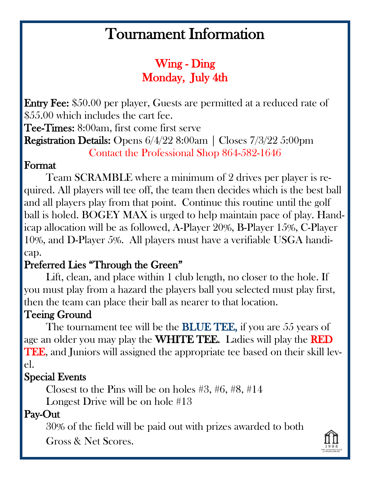## Wing - Ding Monday, July 4th

Entry Fee: \$50.00 per player, Guests are permitted at a reduced rate of \$55.00 which includes the cart fee.

Tee-Times: 8:00am, first come first serve

Registration Details: Opens 6/4/22 8:00am | Closes 7/3/22 5:00pm

Contact the Professional Shop 864-582-1646

### Format

 Team SCRAMBLE where a minimum of 2 drives per player is required. All players will tee off, the team then decides which is the best ball and all players play from that point. Continue this routine until the golf ball is holed. BOGEY MAX is urged to help maintain pace of play. Handicap allocation will be as followed, A-Player 20%, B-Player 15%, C-Player 10%, and D-Player 5%. All players must have a verifiable USGA handicap.

## Preferred Lies "Through the Green"

 Lift, clean, and place within 1 club length, no closer to the hole. If you must play from a hazard the players ball you selected must play first, then the team can place their ball as nearer to that location.

## Teeing Ground

The tournament tee will be the **BLUE TEE**, if you are 55 years of age an older you may play the WHITE TEE. Ladies will play the RED TEE, and Juniors will assigned the appropriate tee based on their skill level.

## Special Events

Closest to the Pins will be on holes #3, #6, #8, #14

Longest Drive will be on hole #13

## Pay-Out

30% of the field will be paid out with prizes awarded to both

Gross & Net Scores.

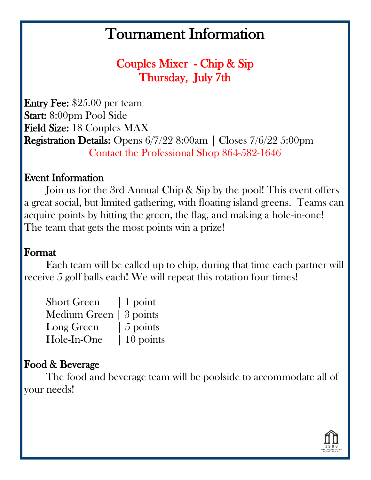Couples Mixer - Chip & Sip Thursday, July 7th

Entry Fee: \$25.00 per team Start: 8:00pm Pool Side Field Size: 18 Couples MAX Registration Details: Opens 6/7/22 8:00am | Closes 7/6/22 5:00pm Contact the Professional Shop 864-582-1646

### Event Information

 Join us for the 3rd Annual Chip & Sip by the pool! This event offers a great social, but limited gathering, with floating island greens. Teams can acquire points by hitting the green, the flag, and making a hole-in-one! The team that gets the most points win a prize!

### Format

 Each team will be called up to chip, during that time each partner will receive 5 golf balls each! We will repeat this rotation four times!

| <b>Short Green</b>      | $\vert$ 1 point        |
|-------------------------|------------------------|
| Medium Green   3 points |                        |
| Long Green              | $\frac{1}{2}$ 5 points |
| Hole-In-One             | $10$ points            |

### Food & Beverage

 The food and beverage team will be poolside to accommodate all of your needs!

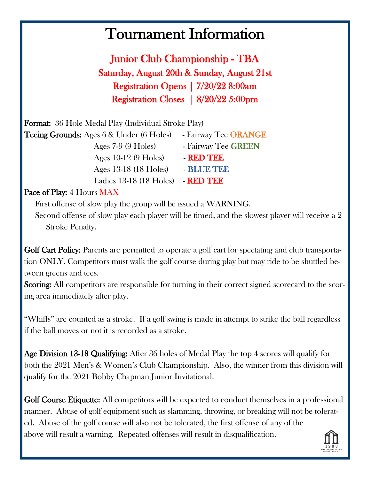Junior Club Championship - TBA Saturday, August 20th & Sunday, August 21st Registration Opens | 7/20/22 8:00am Registration Closes | 8/20/22 5:00pm

| <b>Format:</b> 36 Hole Medal Play (Individual Stroke Play) |                      |  |
|------------------------------------------------------------|----------------------|--|
| <b>Teeing Grounds:</b> Ages 6 & Under (6 Holes)            | - Fairway Tee ORANGE |  |
| Ages $7-9$ (9 Holes)                                       | - Fairway Tee GREEN  |  |
| Ages $10-12$ (9 Holes)                                     | - RED TEE            |  |
| Ages 13-18 (18 Holes)                                      | - BLUE TEE           |  |
| Ladies 13-18 (18 Holes)                                    | - RED TEE            |  |

#### Pace of Play: 4 Hours MAX

First offense of slow play the group will be issued a WARNING.

Second offense of slow play each player will be timed, and the slowest player will receive a 2 Stroke Penalty.

Golf Cart Policy: Parents are permitted to operate a golf cart for spectating and club transportation ONLY. Competitors must walk the golf course during play but may ride to be shuttled between greens and tees.

Scoring: All competitors are responsible for turning in their correct signed scorecard to the scoring area immediately after play.

"Whiffs" are counted as a stroke. If a golf swing is made in attempt to strike the ball regardless if the ball moves or not it is recorded as a stroke.

Age Division 13-18 Qualifying: After 36 holes of Medal Play the top 4 scores will qualify for both the 2021 Men's & Women's Club Championship. Also, the winner from this division will qualify for the 2021 Bobby Chapman Junior Invitational.

Golf Course Etiquette: All competitors will be expected to conduct themselves in a professional manner. Abuse of golf equipment such as slamming, throwing, or breaking will not be tolerated. Abuse of the golf course will also not be tolerated, the first offense of any of the above will result a warning. Repeated offenses will result in disqualification.

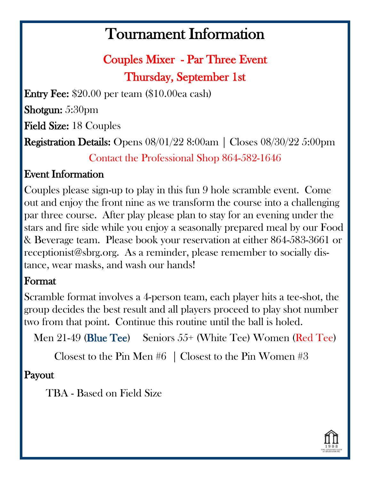Couples Mixer - Par Three Event Thursday, September 1st

Entry Fee: \$20.00 per team (\$10.00ea cash)

Shotgun: 5:30pm

Field Size: 18 Couples

Registration Details: Opens 08/01/22 8:00am | Closes 08/30/22 5:00pm

Contact the Professional Shop 864-582-1646

## Event Information

Couples please sign-up to play in this fun 9 hole scramble event. Come out and enjoy the front nine as we transform the course into a challenging par three course. After play please plan to stay for an evening under the stars and fire side while you enjoy a seasonally prepared meal by our Food & Beverage team. Please book your reservation at either 864-583-3661 or receptionist@sbrg.org. As a reminder, please remember to socially distance, wear masks, and wash our hands!

### Format

Scramble format involves a 4-person team, each player hits a tee-shot, the group decides the best result and all players proceed to play shot number two from that point. Continue this routine until the ball is holed.

Men 21-49 (Blue Tee) Seniors 55+ (White Tee) Women (Red Tee)

Closest to the Pin Men  $#6$  | Closest to the Pin Women  $#3$ 

## Payout

TBA - Based on Field Size

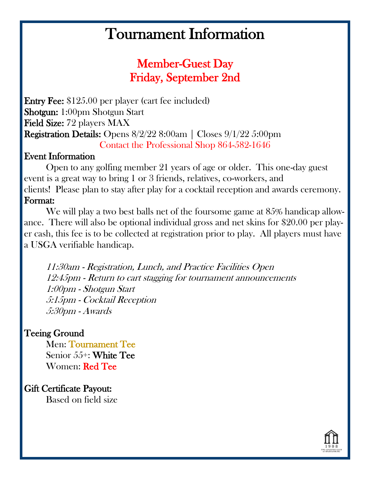## Member-Guest Day Friday, September 2nd

Entry Fee: \$125.00 per player (cart fee included) Shotgun: 1:00pm Shotgun Start Field Size: 72 players MAX Registration Details: Opens 8/2/22 8:00am | Closes 9/1/22 5:00pm Contact the Professional Shop 864-582-1646

#### Event Information

Open to any golfing member 21 years of age or older. This one-day guest event is a great way to bring 1 or 3 friends, relatives, co-workers, and clients! Please plan to stay after play for a cocktail reception and awards ceremony. Format:

We will play a two best balls net of the foursome game at 85% handicap allowance. There will also be optional individual gross and net skins for \$20.00 per player cash, this fee is to be collected at registration prior to play. All players must have a USGA verifiable handicap.

11:30am - Registration, Lunch, and Practice Facilities Open 12:45pm - Return to cart stagging for tournament announcements 1:00pm - Shotgun Start 5:15pm - Cocktail Reception 5:30pm - Awards

#### Teeing Ground

 Men: Tournament Tee Senior 55+: White Tee Women: Red Tee

Gift Certificate Payout: Based on field size

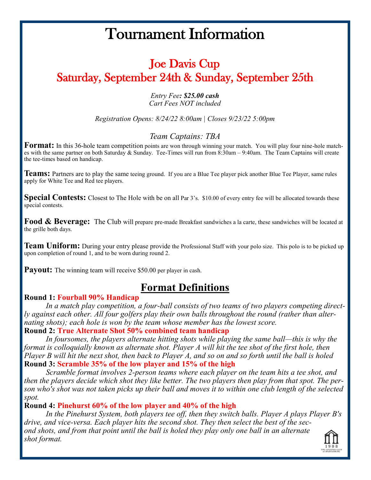## Joe Davis Cup Saturday, September 24th & Sunday, September 25th

#### *Entry Fee: \$25.00 cash Cart Fees NOT included*

*Registration Opens: 8/24/22 8:00am | Closes 9/23/22 5:00pm*

#### *Team Captains: TBA*

**Format:** In this 36-hole team competition points are won through winning your match. You will play four nine-hole matches with the same partner on both Saturday & Sunday. Tee-Times will run from 8:30am – 9:40am. The Team Captains will create the tee-times based on handicap.

**Teams:** Partners are to play the same teeing ground. If you are a Blue Tee player pick another Blue Tee Player, same rules apply for White Tee and Red tee players.

**Special Contests:** Closest to The Hole with be on all Par 3's. \$10.00 of every entry fee will be allocated towards these special contests.

**Food & Beverage:** The Club will prepare pre-made Breakfast sandwiches a la carte, these sandwiches will be located at the grille both days.

**Team Uniform:** During your entry please provide the Professional Staff with your polo size. This polo is to be picked up upon completion of round 1, and to be worn during round 2.

**Payout:** The winning team will receive \$50.00 per player in cash.

### **Format Definitions**

#### **Round 1: Fourball 90% Handicap**

*In a match play competition, a four-ball consists of two teams of two players competing directly against each other. All four golfers play their own balls throughout the round (rather than alternating shots); each hole is won by the team whose member has the lowest score.* **Round 2: True Alternate Shot 50% combined team handicap**

*In foursomes, the players alternate hitting shots while playing the same ball—this is why the format is colloquially known as alternate shot. Player A will hit the tee shot of the first hole, then Player B will hit the next shot, then back to Player A, and so on and so forth until the ball is holed* **Round 3: Scramble 35% of the low player and 15% of the high**

*Scramble format involves 2-person teams where each player on the team hits a tee shot, and then the players decide which shot they like better. The two players then play from that spot. The person who's shot was not taken picks up their ball and moves it to within one club length of the selected spot.*

#### **Round 4: Pinehurst 60% of the low player and 40% of the high**

*In the Pinehurst System, both players tee off, then they switch balls. Player A plays Player B's drive, and vice-versa. Each player hits the second shot. They then select the best of the second shots, and from that point until the ball is holed they play only one ball in an alternate shot format.*

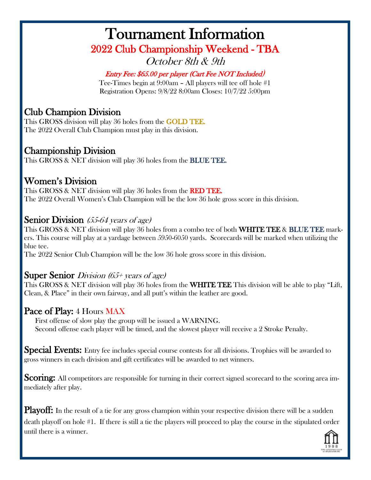## Tournament Information 2022 Club Championship Weekend - TBA October 8th & 9th

#### Entry Fee: \$65.00 per player (Cart Fee NOT Included)

Tee-Times begin at 9:00am – All players will tee off hole #1 Registration Opens: 9/8/22 8:00am Closes: 10/7/22 5:00pm

#### Club Champion Division

This GROSS division will play 36 holes from the GOLD TEE. The 2022 Overall Club Champion must play in this division.

#### Championship Division

This GROSS & NET division will play 36 holes from the **BLUE TEE.** 

#### Women's Division

This GROSS & NET division will play 36 holes from the RED TEE. The 2022 Overall Women's Club Champion will be the low 36 hole gross score in this division.

#### Senior Division (55-64 years of age)

This GROSS & NET division will play 36 holes from a combo tee of both WHITE TEE & BLUE TEE markers. This course will play at a yardage between 5950-6050 yards. Scorecards will be marked when utilizing the blue tee.

The 2022 Senior Club Champion will be the low 36 hole gross score in this division.

#### Super Senior *Division* (65+ years of age)

This GROSS & NET division will play 36 holes from the **WHITE TEE** This division will be able to play "Lift, Clean, & Place" in their own fairway, and all putt's within the leather are good.

#### Pace of Play: 4 Hours MAX

First offense of slow play the group will be issued a WARNING. Second offense each player will be timed, and the slowest player will receive a 2 Stroke Penalty.

Special Events: Entry fee includes special course contests for all divisions. Trophies will be awarded to gross winners in each division and gift certificates will be awarded to net winners.

Scoring: All competitors are responsible for turning in their correct signed scorecard to the scoring area immediately after play.

Playoff: In the result of a tie for any gross champion within your respective division there will be a sudden death playoff on hole #1. If there is still a tie the players will proceed to play the course in the stipulated order until there is a winner.

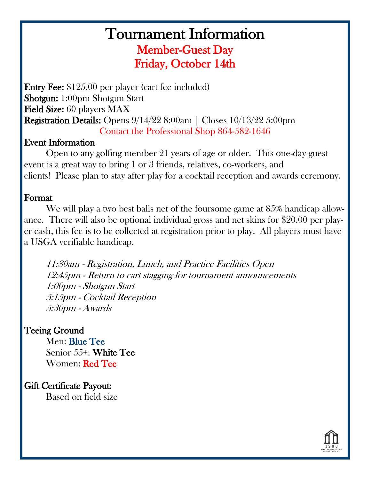## Tournament Information Member-Guest Day Friday, October 14th

Entry Fee: \$125.00 per player (cart fee included) Shotgun: 1:00pm Shotgun Start Field Size: 60 players MAX Registration Details: Opens 9/14/22 8:00am | Closes 10/13/22 5:00pm Contact the Professional Shop 864-582-1646

#### Event Information

Open to any golfing member 21 years of age or older. This one-day guest event is a great way to bring 1 or 3 friends, relatives, co-workers, and clients! Please plan to stay after play for a cocktail reception and awards ceremony.

#### Format

We will play a two best balls net of the foursome game at 85% handicap allowance. There will also be optional individual gross and net skins for \$20.00 per player cash, this fee is to be collected at registration prior to play. All players must have a USGA verifiable handicap.

11:30am - Registration, Lunch, and Practice Facilities Open 12:45pm - Return to cart stagging for tournament announcements 1:00pm - Shotgun Start 5:15pm - Cocktail Reception 5:30pm - Awards

#### Teeing Ground

 Men: Blue Tee Senior 55+: White Tee Women: Red Tee

Gift Certificate Payout:

Based on field size

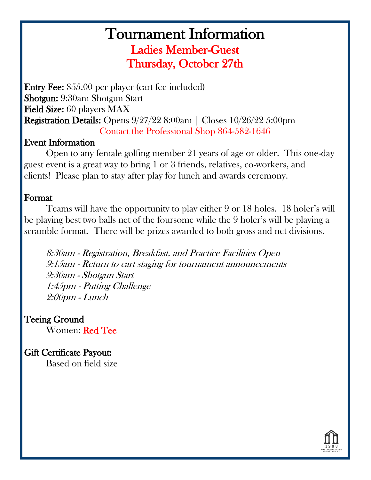## Tournament Information Ladies Member-Guest Thursday, October 27th

Entry Fee: \$55.00 per player (cart fee included) Shotgun: 9:30am Shotgun Start Field Size: 60 players MAX Registration Details: Opens 9/27/22 8:00am | Closes 10/26/22 5:00pm Contact the Professional Shop 864-582-1646

#### Event Information

Open to any female golfing member 21 years of age or older. This one-day guest event is a great way to bring 1 or 3 friends, relatives, co-workers, and clients! Please plan to stay after play for lunch and awards ceremony.

#### Format

Teams will have the opportunity to play either 9 or 18 holes. 18 holer's will be playing best two balls net of the foursome while the 9 holer's will be playing a scramble format. There will be prizes awarded to both gross and net divisions.

8:30am - Registration, Breakfast, and Practice Facilities Open 9:15am - Return to cart staging for tournament announcements 9:30am - Shotgun Start 1:45pm - Putting Challenge 2:00pm - Lunch

Teeing Ground Women: Red Tee

Gift Certificate Payout: Based on field size

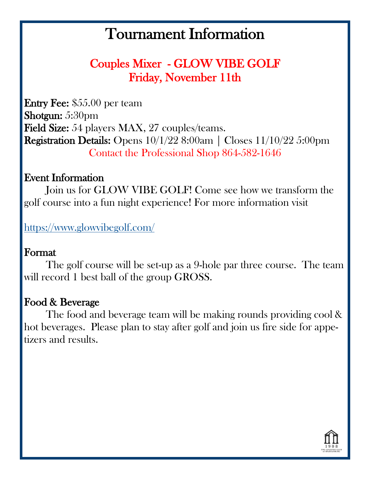## Couples Mixer - GLOW VIBE GOLF Friday, November 11th

Entry Fee: \$55.00 per team Shotgun: 5:30pm Field Size: 54 players MAX, 27 couples/teams. Registration Details: Opens 10/1/22 8:00am | Closes 11/10/22 5:00pm Contact the Professional Shop 864-582-1646

### Event Information

 Join us for GLOW VIBE GOLF! Come see how we transform the golf course into a fun night experience! For more information visit

[https://www.glowvibegolf.com/](Glow%20Vibe%20Golf) 

### Format

 The golf course will be set-up as a 9-hole par three course. The team will record 1 best ball of the group GROSS.

### Food & Beverage

 The food and beverage team will be making rounds providing cool & hot beverages. Please plan to stay after golf and join us fire side for appetizers and results.

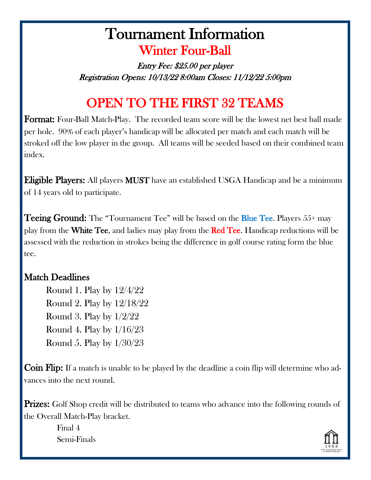## Tournament Information Winter Four-Ball

Entry Fee: \$25.00 per player Registration Opens: 10/13/22 8:00am Closes: 11/12/22 5:00pm

## OPEN TO THE FIRST 32 TEAMS

Format: Four-Ball Match-Play. The recorded team score will be the lowest net best ball made per hole. 90% of each player's handicap will be allocated per match and each match will be stroked off the low player in the group. All teams will be seeded based on their combined team index.

Eligible Players: All players MUST have an established USGA Handicap and be a minimum of 14 years old to participate.

**Teeing Ground:** The "Tournament Tee" will be based on the **Blue Tee.** Players 55+ may play from the White Tee, and ladies may play from the Red Tee. Handicap reductions will be assessed with the reduction in strokes being the difference in golf course rating form the blue tee.

#### Match Deadlines

 Round 1. Play by 12/4/22 Round 2. Play by 12/18/22 Round 3. Play by 1/2/22 Round 4. Play by 1/16/23 Round 5. Play by 1/30/23

Coin Flip: If a match is unable to be played by the deadline a coin flip will determine who advances into the next round.

**Prizes:** Golf Shop credit will be distributed to teams who advance into the following rounds of the Overall Match-Play bracket.

> Final 4 Semi-Finals

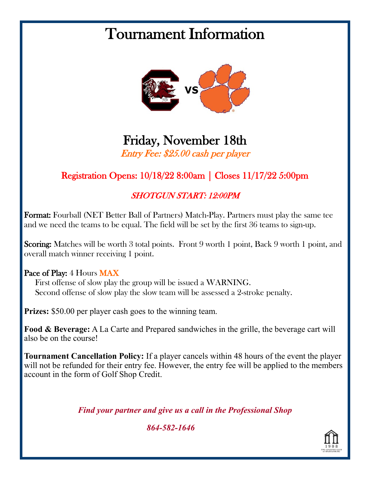

## Friday, November 18th Entry Fee: \$25.00 cash per player

### Registration Opens: 10/18/22 8:00am | Closes 11/17/22 5:00pm

#### SHOTGUN START: 12:00PM

Format: Fourball (NET Better Ball of Partners) Match-Play. Partners must play the same tee and we need the teams to be equal. The field will be set by the first 36 teams to sign-up.

Scoring: Matches will be worth 3 total points. Front 9 worth 1 point, Back 9 worth 1 point, and overall match winner receiving 1 point.

#### Pace of Play: 4 Hours MAX

First offense of slow play the group will be issued a WARNING. Second offense of slow play the slow team will be assessed a 2-stroke penalty.

**Prizes:** \$50.00 per player cash goes to the winning team.

**Food & Beverage:** A La Carte and Prepared sandwiches in the grille, the beverage cart will also be on the course!

**Tournament Cancellation Policy:** If a player cancels within 48 hours of the event the player will not be refunded for their entry fee. However, the entry fee will be applied to the members account in the form of Golf Shop Credit.

*Find your partner and give us a call in the Professional Shop*

*864-582-1646*